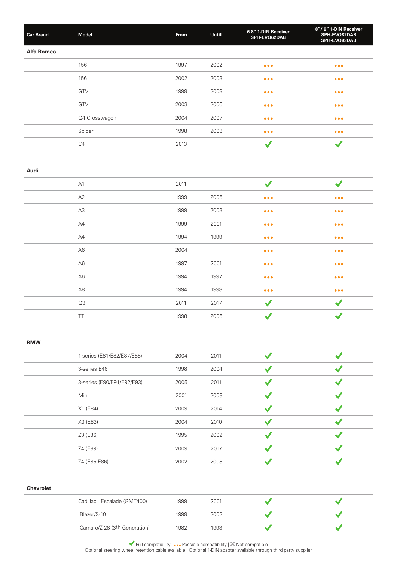| <b>Car Brand</b>  | <b>Model</b>   | From | Untill | 6.8" 1-DIN Receiver<br>SPH-EVO62DAB | 8"/9" 1-DIN Receiver<br>SPH-EVO82DAB<br>SPH-EVO93DAB |
|-------------------|----------------|------|--------|-------------------------------------|------------------------------------------------------|
| <b>Alfa Romeo</b> |                |      |        |                                     |                                                      |
|                   | 156            | 1997 | 2002   | $\bullet\bullet\bullet$             | $\bullet\bullet\bullet$                              |
|                   | 156            | 2002 | 2003   | $\bullet\bullet\bullet$             | $\bullet\bullet\bullet$                              |
|                   | GTV            | 1998 | 2003   | $\bullet\bullet\bullet$             | $\bullet\bullet\bullet$                              |
|                   | GTV            | 2003 | 2006   | $\bullet\bullet\bullet$             | $\bullet\bullet\bullet$                              |
|                   | Q4 Crosswagon  | 2004 | 2007   | $\bullet\bullet\bullet$             | $\bullet\bullet\bullet$                              |
|                   | Spider         | 1998 | 2003   | $\bullet\bullet\bullet$             | $\bullet\bullet\bullet$                              |
|                   | C <sub>4</sub> | 2013 |        | v                                   |                                                      |

#### **Audi**

| A1             | 2011 |      |                         |                         |
|----------------|------|------|-------------------------|-------------------------|
| A2             | 1999 | 2005 | $\bullet\bullet\bullet$ | $\bullet\bullet\bullet$ |
| A3             | 1999 | 2003 | $\bullet\bullet\bullet$ | $\bullet\bullet\bullet$ |
| A4             | 1999 | 2001 | $\bullet\bullet\bullet$ | $\bullet\bullet\bullet$ |
| A4             | 1994 | 1999 | $\bullet\bullet\bullet$ | $\bullet\bullet\bullet$ |
| A <sub>6</sub> | 2004 |      | $\bullet\bullet\bullet$ | $\bullet\bullet\bullet$ |
| A <sub>6</sub> | 1997 | 2001 | $\bullet\bullet\bullet$ | $\bullet\bullet\bullet$ |
| A <sub>6</sub> | 1994 | 1997 | $\bullet\bullet\bullet$ | $\bullet\bullet\bullet$ |
| A8             | 1994 | 1998 | $\bullet\bullet\bullet$ | $\bullet\bullet\bullet$ |
| Q3             | 2011 | 2017 | $\checkmark$            |                         |
| TT             | 1998 | 2006 | $\checkmark$            | $\checkmark$            |

### **BMW**

| 1-series (E81/E82/E87/E88) | 2004 | 2011 |  |
|----------------------------|------|------|--|
| 3-series E46               | 1998 | 2004 |  |
| 3-series (E90/E91/E92/E93) | 2005 | 2011 |  |
| Mini                       | 2001 | 2008 |  |
| X1 (E84)                   | 2009 | 2014 |  |
| X3 (E83)                   | 2004 | 2010 |  |
| Z3 (E36)                   | 1995 | 2002 |  |
| Z4 (E89)                   | 2009 | 2017 |  |
| Z4 (E85 E86)               | 2002 | 2008 |  |

#### **Chevrolet**

| Cadillac Escalade (GMT400)   | 1999 | 2001 |  |
|------------------------------|------|------|--|
| Blazer/S-10                  | 1998 | 2002 |  |
| Camaro/Z-28 (3th Generation) | 1982 | 1993 |  |

Full compatibility  $| \bullet \bullet \bullet$  Possible compatibility  $| \times$  Not compatible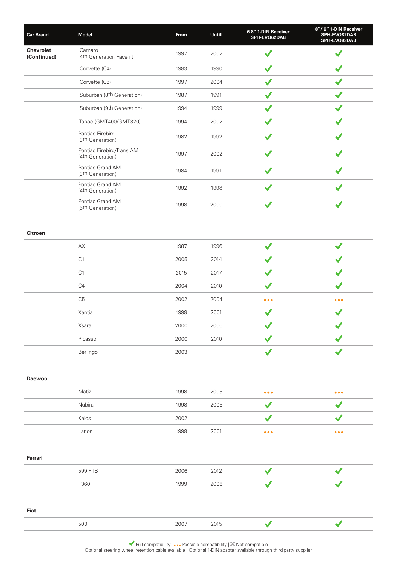| <b>Car Brand</b>                | <b>Model</b>                                     | From | Untill | 6.8" 1-DIN Receiver<br>SPH-EVO62DAB | 8"/9" 1-DIN Receiver<br>SPH-EVO82DAB<br>SPH-EVO93DAB |
|---------------------------------|--------------------------------------------------|------|--------|-------------------------------------|------------------------------------------------------|
| <b>Chevrolet</b><br>(Continued) | Camaro<br>(4th Generation Facelift)              | 1997 | 2002   |                                     |                                                      |
|                                 | Corvette (C4)                                    | 1983 | 1990   |                                     |                                                      |
|                                 | Corvette (C5)                                    | 1997 | 2004   |                                     |                                                      |
|                                 | Suburban (8th Generation)                        | 1987 | 1991   |                                     |                                                      |
|                                 | Suburban (9th Generation)                        | 1994 | 1999   |                                     |                                                      |
|                                 | Tahoe (GMT400/GMT820)                            | 1994 | 2002   |                                     |                                                      |
|                                 | Pontiac Firebird<br>(3th Generation)             | 1982 | 1992   |                                     |                                                      |
|                                 | Pontiac Firebird/Trans AM<br>(4th Generation)    | 1997 | 2002   |                                     |                                                      |
|                                 | Pontiac Grand AM<br>(3 <sup>th</sup> Generation) | 1984 | 1991   |                                     |                                                      |
|                                 | Pontiac Grand AM<br>(4th Generation)             | 1992 | 1998   |                                     |                                                      |
|                                 | Pontiac Grand AM<br>(5th Generation)             | 1998 | 2000   |                                     |                                                      |

# **Citroen**

| АX             | 1987 | 1996 |                         |                         |
|----------------|------|------|-------------------------|-------------------------|
| C <sub>1</sub> | 2005 | 2014 |                         |                         |
| C <sub>1</sub> | 2015 | 2017 |                         |                         |
| C4             | 2004 | 2010 |                         |                         |
| C <sub>5</sub> | 2002 | 2004 | $\bullet\bullet\bullet$ | $\bullet\bullet\bullet$ |
| Xantia         | 1998 | 2001 |                         |                         |
| Xsara          | 2000 | 2006 |                         |                         |
| Picasso        | 2000 | 2010 |                         |                         |
| Berlingo       | 2003 |      |                         |                         |

**Daewoo**

| Matiz  | 1998 | 2005 | $\bullet\bullet\bullet$ | $\bullet\bullet\bullet$ |
|--------|------|------|-------------------------|-------------------------|
| Nubira | 1998 | 2005 |                         |                         |
| Kalos  | 2002 |      |                         |                         |
| Lanos  | 1998 | 2001 | $\bullet\bullet\bullet$ | $\bullet\bullet\bullet$ |

#### **Ferrari**

| 599 FTB | 2006 | 2012 |  |
|---------|------|------|--|
| F360    | 1999 | 2006 |  |
|         |      |      |  |
| Ein#    |      |      |  |

**Fiat**

 $\overline{\checkmark}$ 

 $\blacktriangledown$ 

500 2007 2015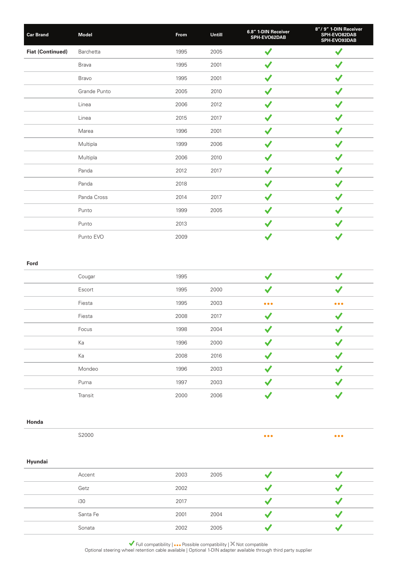| <b>Car Brand</b>        | <b>Model</b> | From | Untill | 6.8" 1-DIN Receiver<br>SPH-EVO62DAB | 8"/9" 1-DIN Receiver<br>SPH-EVO82DAB<br>SPH-EVO93DAB |
|-------------------------|--------------|------|--------|-------------------------------------|------------------------------------------------------|
| <b>Fiat (Continued)</b> | Barchetta    | 1995 | 2005   | $\checkmark$                        |                                                      |
|                         | <b>Brava</b> | 1995 | 2001   | ✔                                   |                                                      |
|                         | Bravo        | 1995 | 2001   | $\checkmark$                        |                                                      |
|                         | Grande Punto | 2005 | 2010   | $\checkmark$                        |                                                      |
|                         | Linea        | 2006 | 2012   | $\checkmark$                        |                                                      |
|                         | Linea        | 2015 | 2017   |                                     |                                                      |
|                         | Marea        | 1996 | 2001   | ✔                                   |                                                      |
|                         | Multipla     | 1999 | 2006   | J                                   |                                                      |
|                         | Multipla     | 2006 | 2010   | ✔                                   |                                                      |
|                         | Panda        | 2012 | 2017   | $\checkmark$                        |                                                      |
|                         | Panda        | 2018 |        | $\checkmark$                        |                                                      |
|                         | Panda Cross  | 2014 | 2017   | $\blacktriangledown$                |                                                      |
|                         | Punto        | 1999 | 2005   | $\checkmark$                        |                                                      |
|                         | Punto        | 2013 |        | $\checkmark$                        |                                                      |
|                         | Punto EVO    | 2009 |        | $\blacktriangledown$                |                                                      |

#### **Ford**

| Cougar  | 1995 |      |                         |                         |
|---------|------|------|-------------------------|-------------------------|
| Escort  | 1995 | 2000 |                         |                         |
| Fiesta  | 1995 | 2003 | $\bullet\bullet\bullet$ | $\bullet\bullet\bullet$ |
| Fiesta  | 2008 | 2017 |                         |                         |
| Focus   | 1998 | 2004 |                         |                         |
| Ka      | 1996 | 2000 |                         |                         |
| Ka      | 2008 | 2016 |                         |                         |
| Mondeo  | 1996 | 2003 |                         |                         |
| Puma    | 1997 | 2003 |                         |                         |
| Transit | 2000 | 2006 |                         |                         |

### **Honda**

 $\bullet\bullet\bullet$ 

 $\bullet\bullet\bullet$ 

### **Hyundai**

| Accent   | 2003 | 2005 |  |
|----------|------|------|--|
| Getz     | 2002 |      |  |
| i30      | 2017 |      |  |
| Santa Fe | 2001 | 2004 |  |
| Sonata   | 2002 | 2005 |  |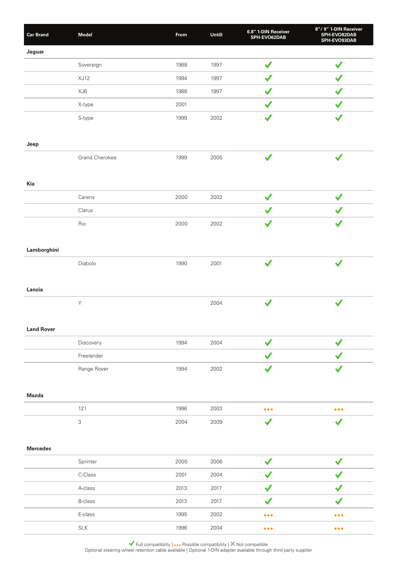| <b>Car Brand</b>  | <b>Model</b>   | From | Untill | 6.8" 1-DIN Receiver<br>SPH-EVO62DAB | 8"/9" 1-DIN Receiver<br>SPH-EVO82DAB<br>SPH-EVO93DAB |
|-------------------|----------------|------|--------|-------------------------------------|------------------------------------------------------|
| Jaguar            |                |      |        |                                     |                                                      |
|                   | Sovereign      | 1988 | 1997   | $\blacktriangledown$                | $\checkmark$                                         |
|                   | XJ12           | 1994 | 1997   | $\blacktriangledown$                | $\checkmark$                                         |
|                   | XJ6            | 1988 | 1997   | ✔                                   | ✔                                                    |
|                   | X-type         | 2001 |        | ✔                                   |                                                      |
|                   | S-type         | 1999 | 2002   | $\checkmark$                        | $\checkmark$                                         |
|                   |                |      |        |                                     |                                                      |
| Jeep              |                |      |        |                                     |                                                      |
|                   | Grand Cherokee | 1999 | 2005   | $\checkmark$                        | $\checkmark$                                         |
|                   |                |      |        |                                     |                                                      |
| Kia               |                |      |        |                                     |                                                      |
|                   | Carens         | 2000 | 2002   | $\checkmark$                        | $\checkmark$                                         |
|                   | Clarus         |      |        | ✔                                   |                                                      |
|                   | Rio            | 2000 | 2002   |                                     |                                                      |
|                   |                |      |        |                                     |                                                      |
| Lamborghini       |                |      |        |                                     |                                                      |
|                   | Diabolo        | 1990 | 2001   | $\checkmark$                        | $\checkmark$                                         |
|                   |                |      |        |                                     |                                                      |
| Lancia            |                |      |        |                                     |                                                      |
|                   | $\mathsf Y$    |      | 2004   | $\checkmark$                        | $\checkmark$                                         |
|                   |                |      |        |                                     |                                                      |
| <b>Land Rover</b> |                |      |        |                                     |                                                      |
|                   | Discovery      | 1994 | 2004   | $\checkmark$                        | $\checkmark$                                         |
|                   | Freelander     |      |        |                                     |                                                      |
|                   | Range Rover    | 1994 | 2002   | ✔                                   | $\checkmark$                                         |
|                   |                |      |        |                                     |                                                      |
| <b>Mazda</b>      |                |      |        |                                     |                                                      |
|                   | 121            | 1996 | 2003   | $\bullet\bullet\bullet$             | $\bullet\bullet\bullet$                              |
|                   | $\mathfrak{S}$ | 2004 | 2009   | $\checkmark$                        | $\checkmark$                                         |
|                   |                |      |        |                                     |                                                      |
| <b>Mercedes</b>   |                |      |        |                                     |                                                      |
|                   | Sprinter       | 2000 | 2006   | $\checkmark$                        | $\checkmark$                                         |
|                   | C-Class        | 2001 | 2004   |                                     |                                                      |
|                   | A-class        | 2013 | 2017   | ✔                                   | $\checkmark$                                         |
|                   | <b>B-class</b> | 2013 | 2017   | $\checkmark$                        | $\checkmark$                                         |
|                   | E-class        | 1995 | 2002   | $\bullet\bullet\bullet$             | $\bullet\bullet\bullet$                              |
|                   | $\textsf{SLK}$ | 1996 | 2004   | $\bullet\bullet\bullet$             | $\bullet\bullet\bullet$                              |

Full compatibility  $| \bullet \bullet \bullet$  Possible compatibility  $| \times$  Not compatible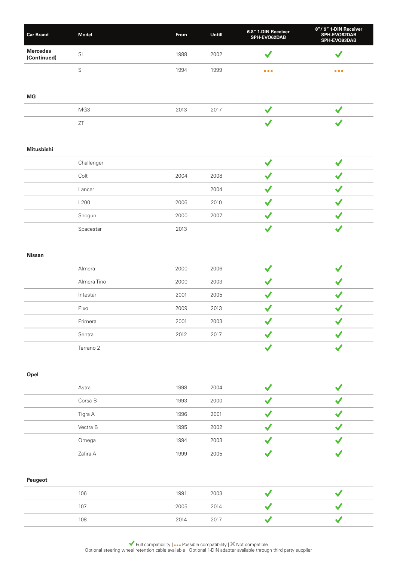| <b>Car Brand</b>               | <b>Model</b> | <b>From</b> | <b>Untill</b> | 6.8" 1-DIN Receiver<br>SPH-EVO62DAB | 8"/9" 1-DIN Receiver<br><b>SPH-EVO82DAB</b><br><b>SPH-EVO93DAB</b> |
|--------------------------------|--------------|-------------|---------------|-------------------------------------|--------------------------------------------------------------------|
| <b>Mercedes</b><br>(Continued) | SL           | 1988        | 2002          |                                     |                                                                    |
|                                |              | 1994        | 1999          | $\bullet\bullet\bullet$             | $\bullet\bullet\bullet$                                            |

**MG**

| MG3                     | 2013 | 2017 |  |
|-------------------------|------|------|--|
| $- -$<br>$\sim$ $\cdot$ |      |      |  |

# **Mitusbishi**

| Challenger |      |      |  |
|------------|------|------|--|
| Colt       | 2004 | 2008 |  |
|            |      |      |  |
| Lancer     |      | 2004 |  |
| L200       | 2006 | 2010 |  |
| Shogun     | 2000 | 2007 |  |
| Spacestar  | 2013 |      |  |

# **Nissan**

| Almera      | 2000 | 2006 |  |
|-------------|------|------|--|
| Almera Tino | 2000 | 2003 |  |
| Intestar    | 2001 | 2005 |  |
| Pixo        | 2009 | 2013 |  |
| Primera     | 2001 | 2003 |  |
| Sentra      | 2012 | 2017 |  |
| Terrano 2   |      |      |  |

### **Opel**

| Astra    | 1998 | 2004 |  |
|----------|------|------|--|
| Corsa B  | 1993 | 2000 |  |
| Tigra A  | 1996 | 2001 |  |
| Vectra B | 1995 | 2002 |  |
| Omega    | 1994 | 2003 |  |
| Zafira A | 1999 | 2005 |  |

# **Peugeot**

| 106 | 1991 | 2003 |  |
|-----|------|------|--|
| 107 | 2005 | 2014 |  |
| 108 | 2014 | 2017 |  |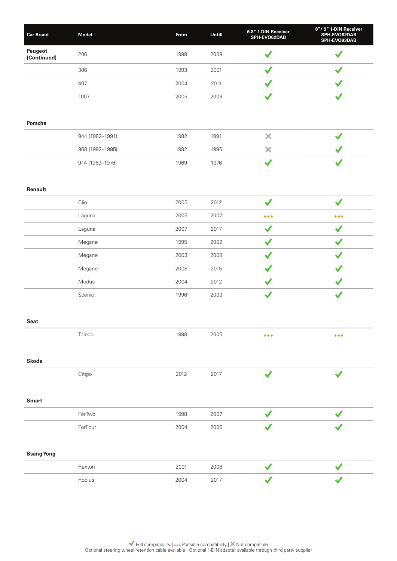| <b>Car Brand</b>       | Model           | From | Untill | 6.8" 1-DIN Receiver<br>SPH-EVO62DAB | 8"/9" 1-DIN Receiver<br>SPH-EVO82DAB<br>SPH-EVO93DAB |
|------------------------|-----------------|------|--------|-------------------------------------|------------------------------------------------------|
| Peugeot<br>(Continued) | 206             | 1998 | 2009   | $\checkmark$                        | $\blacktriangledown$                                 |
|                        | 306             | 1993 | 2001   | $\checkmark$                        | $\checkmark$                                         |
|                        | 407             | 2004 | 2011   | $\checkmark$                        | $\checkmark$                                         |
|                        | 1007            | 2005 | 2009   | $\checkmark$                        | $\checkmark$                                         |
| Porsche                |                 |      |        |                                     |                                                      |
|                        | 944 (1982-1991) | 1982 | 1991   | $\times$                            | $\checkmark$                                         |
|                        | 968 (1992-1995) | 1992 | 1995   | ×                                   |                                                      |
|                        | 914 (1969-1976) | 1969 | 1976   | $\checkmark$                        | $\checkmark$                                         |
| Renault                |                 |      |        |                                     |                                                      |
|                        | Clio            | 2005 | 2012   | $\blacktriangledown$                | $\checkmark$                                         |
|                        | Laguna          | 2005 | 2007   | $\bullet\bullet\bullet$             | $\bullet\bullet\bullet$                              |
|                        | Laguna          | 2007 | 2017   | $\checkmark$                        | $\checkmark$                                         |
|                        | Megane          | 1995 | 2002   | $\checkmark$                        | $\blacktriangledown$                                 |
|                        | Megane          | 2003 | 2008   | $\checkmark$                        | $\checkmark$                                         |
|                        | Megane          | 2008 | 2015   | $\checkmark$                        | $\checkmark$                                         |
|                        | Modus           | 2004 | 2012   | $\checkmark$                        | $\checkmark$                                         |
|                        | Scenic          | 1996 | 2003   | $\blacktriangledown$                | $\checkmark$                                         |
| Seat                   |                 |      |        |                                     |                                                      |
|                        | Toledo          | 1998 | 2005   | $\bullet\bullet\bullet$             | $\bullet\bullet\bullet$                              |
| <b>Skoda</b>           |                 |      |        |                                     |                                                      |
|                        | Citigo          | 2012 | 2017   | $\checkmark$                        | $\checkmark$                                         |
| <b>Smart</b>           |                 |      |        |                                     |                                                      |
|                        | ForTwo          | 1998 | 2007   | $\checkmark$                        | ✔                                                    |
|                        | ForFour         | 2004 | 2006   |                                     |                                                      |
| <b>Ssang Yong</b>      |                 |      |        |                                     |                                                      |
|                        | Rexton          | 2001 | 2006   |                                     |                                                      |
|                        | Rodius          | 2004 | 2017   |                                     |                                                      |